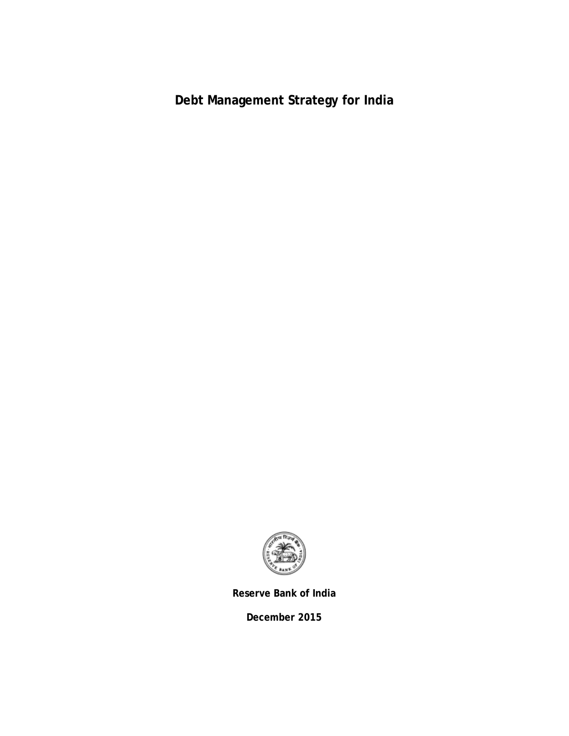**Debt Management Strategy for India**



**Reserve Bank of India**

**December 2015**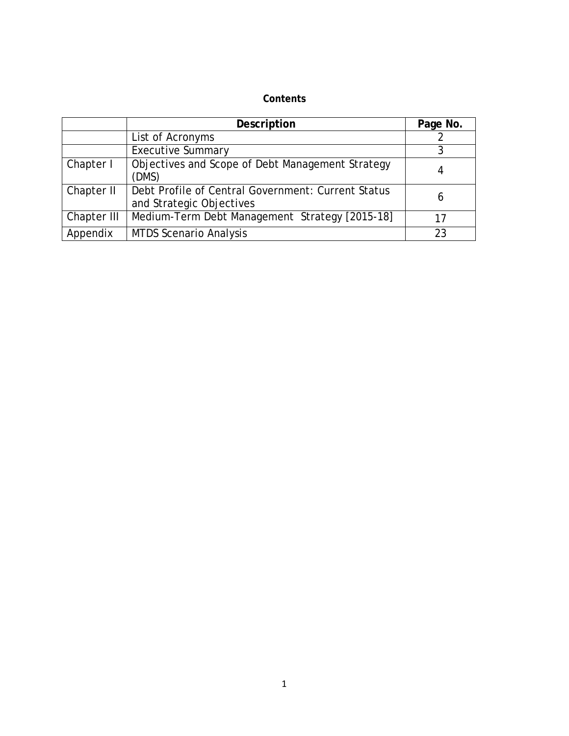### **Contents**

|             | Description                                                                    | Page No. |
|-------------|--------------------------------------------------------------------------------|----------|
|             | List of Acronyms                                                               |          |
|             | <b>Executive Summary</b>                                                       |          |
| Chapter I   | Objectives and Scope of Debt Management Strategy<br>(DMS)                      |          |
| Chapter II  | Debt Profile of Central Government: Current Status<br>and Strategic Objectives | 6        |
| Chapter III | Medium-Term Debt Management Strategy [2015-18]                                 | 17       |
| Appendix    | <b>MTDS Scenario Analysis</b>                                                  | 23       |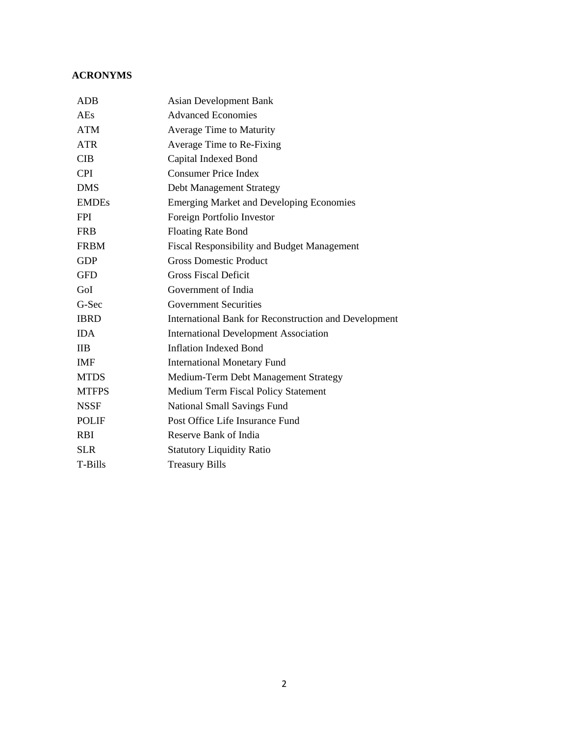#### **ACRONYMS**

| <b>ADB</b>   | <b>Asian Development Bank</b>                         |
|--------------|-------------------------------------------------------|
| AEs          | <b>Advanced Economies</b>                             |
| <b>ATM</b>   | <b>Average Time to Maturity</b>                       |
| <b>ATR</b>   | Average Time to Re-Fixing                             |
| <b>CIB</b>   | Capital Indexed Bond                                  |
| <b>CPI</b>   | <b>Consumer Price Index</b>                           |
| <b>DMS</b>   | Debt Management Strategy                              |
| <b>EMDEs</b> | <b>Emerging Market and Developing Economies</b>       |
| <b>FPI</b>   | Foreign Portfolio Investor                            |
| <b>FRB</b>   | <b>Floating Rate Bond</b>                             |
| <b>FRBM</b>  | <b>Fiscal Responsibility and Budget Management</b>    |
| <b>GDP</b>   | <b>Gross Domestic Product</b>                         |
| <b>GFD</b>   | <b>Gross Fiscal Deficit</b>                           |
| GoI          | Government of India                                   |
| G-Sec        | <b>Government Securities</b>                          |
| <b>IBRD</b>  | International Bank for Reconstruction and Development |
| <b>IDA</b>   | <b>International Development Association</b>          |
| <b>IIB</b>   | <b>Inflation Indexed Bond</b>                         |
| <b>IMF</b>   | <b>International Monetary Fund</b>                    |
| <b>MTDS</b>  | Medium-Term Debt Management Strategy                  |
| <b>MTFPS</b> | Medium Term Fiscal Policy Statement                   |
| <b>NSSF</b>  | <b>National Small Savings Fund</b>                    |
| <b>POLIF</b> | Post Office Life Insurance Fund                       |
| <b>RBI</b>   | Reserve Bank of India                                 |
| <b>SLR</b>   | <b>Statutory Liquidity Ratio</b>                      |
| T-Bills      | <b>Treasury Bills</b>                                 |
|              |                                                       |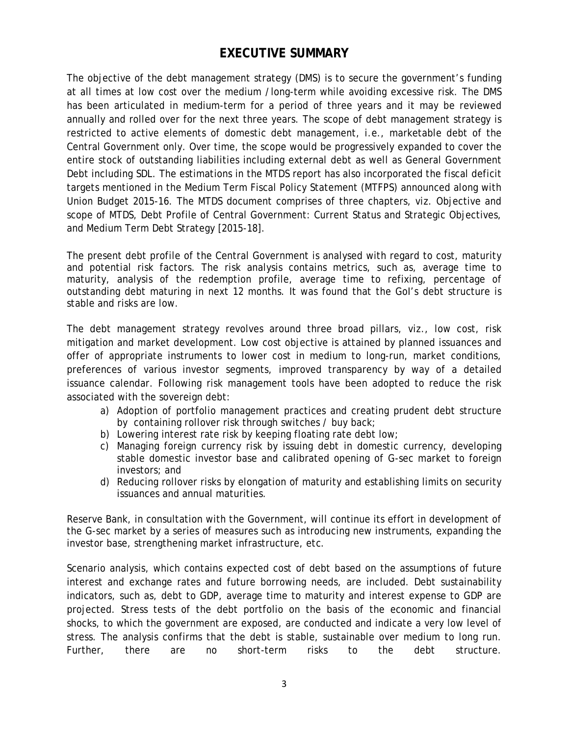# **EXECUTIVE SUMMARY**

The objective of the debt management strategy (DMS) is to secure the government's funding at all times at low cost over the medium /long-term while avoiding excessive risk. The DMS has been articulated in medium-term for a period of three years and it may be reviewed annually and rolled over for the next three years. The scope of debt management strategy is restricted to active elements of domestic debt management, *i.e.*, marketable debt of the Central Government only. Over time, the scope would be progressively expanded to cover the entire stock of outstanding liabilities including external debt as well as General Government Debt including SDL. The estimations in the MTDS report has also incorporated the fiscal deficit targets mentioned in the Medium Term Fiscal Policy Statement (MTFPS) announced along with Union Budget 2015-16. The MTDS document comprises of three chapters, *viz.* Objective and scope of MTDS, Debt Profile of Central Government: Current Status and Strategic Objectives, and Medium Term Debt Strategy [2015-18].

The present debt profile of the Central Government is analysed with regard to cost, maturity and potential risk factors. The risk analysis contains metrics, such as, average time to maturity, analysis of the redemption profile, average time to refixing, percentage of outstanding debt maturing in next 12 months. It was found that the GoI's debt structure is stable and risks are low.

The debt management strategy revolves around three broad pillars, *viz.,* low cost, risk mitigation and market development. Low cost objective is attained by planned issuances and offer of appropriate instruments to lower cost in medium to long-run, market conditions, preferences of various investor segments, improved transparency by way of a detailed issuance calendar. Following risk management tools have been adopted to reduce the risk associated with the sovereign debt:

- a) Adoption of portfolio management practices and creating prudent debt structure by containing rollover risk through switches / buy back;
- b) Lowering interest rate risk by keeping floating rate debt low;
- c) Managing foreign currency risk by issuing debt in domestic currency, developing stable domestic investor base and calibrated opening of G-sec market to foreign investors; and
- d) Reducing rollover risks by elongation of maturity and establishing limits on security issuances and annual maturities.

Reserve Bank, in consultation with the Government, will continue its effort in development of the G-sec market by a series of measures such as introducing new instruments, expanding the investor base, strengthening market infrastructure, *etc.*

Scenario analysis, which contains expected cost of debt based on the assumptions of future interest and exchange rates and future borrowing needs, are included. Debt sustainability indicators, such as, debt to GDP, average time to maturity and interest expense to GDP are projected. Stress tests of the debt portfolio on the basis of the economic and financial shocks, to which the government are exposed, are conducted and indicate a very low level of stress. The analysis confirms that the debt is stable, sustainable over medium to long run. Further, there are no short-term risks to the debt structure.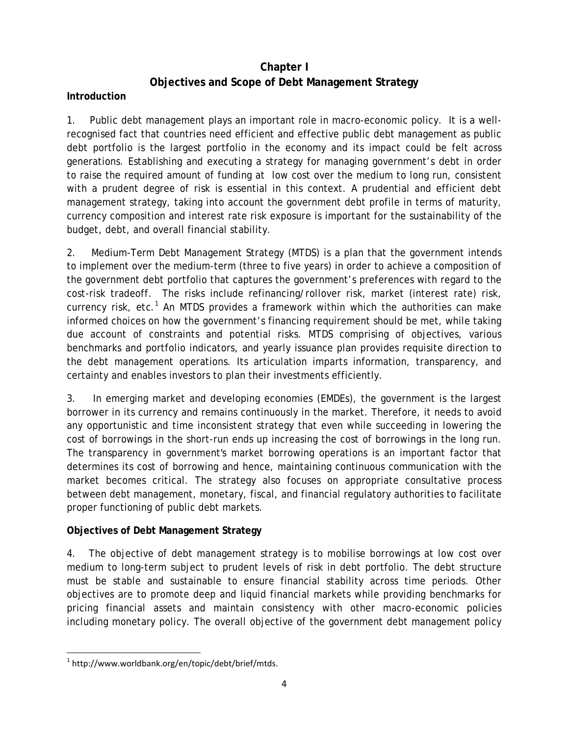# **Chapter I Objectives and Scope of Debt Management Strategy**

### **Introduction**

1. Public debt management plays an important role in macro-economic policy. It is a wellrecognised fact that countries need efficient and effective public debt management as public debt portfolio is the largest portfolio in the economy and its impact could be felt across generations. Establishing and executing a strategy for managing government's debt in order to raise the required amount of funding at low cost over the medium to long run, consistent with a prudent degree of risk is essential in this context. A prudential and efficient debt management strategy, taking into account the government debt profile in terms of maturity, currency composition and interest rate risk exposure is important for the sustainability of the budget, debt, and overall financial stability.

2. Medium-Term Debt Management Strategy (MTDS) is a plan that the government intends to implement over the medium-term (three to five years) in order to achieve a composition of the government debt portfolio that captures the government's preferences with regard to the cost-risk tradeoff. The risks include refinancing/rollover risk, market (interest rate) risk, currency risk, etc.<sup>[1](#page-4-0)</sup> An MTDS provides a framework within which the authorities can make informed choices on how the government's financing requirement should be met, while taking due account of constraints and potential risks. MTDS comprising of objectives, various benchmarks and portfolio indicators, and yearly issuance plan provides requisite direction to the debt management operations. Its articulation imparts information, transparency, and certainty and enables investors to plan their investments efficiently.

3. In emerging market and developing economies (EMDEs), the government is the largest borrower in its currency and remains continuously in the market. Therefore, it needs to avoid any opportunistic and time inconsistent strategy that even while succeeding in lowering the cost of borrowings in the short-run ends up increasing the cost of borrowings in the long run. The transparency in government's market borrowing operations is an important factor that determines its cost of borrowing and hence, maintaining continuous communication with the market becomes critical. The strategy also focuses on appropriate consultative process between debt management, monetary, fiscal, and financial regulatory authorities to facilitate proper functioning of public debt markets.

### **Objectives of Debt Management Strategy**

4. The objective of debt management strategy is to mobilise borrowings at low cost over medium to long-term subject to prudent levels of risk in debt portfolio. The debt structure must be stable and sustainable to ensure financial stability across time periods. Other objectives are to promote deep and liquid financial markets while providing benchmarks for pricing financial assets and maintain consistency with other macro-economic policies including monetary policy. The overall objective of the government debt management policy

<span id="page-4-0"></span> $1$  http://www.worldbank.org/en/topic/debt/brief/mtds.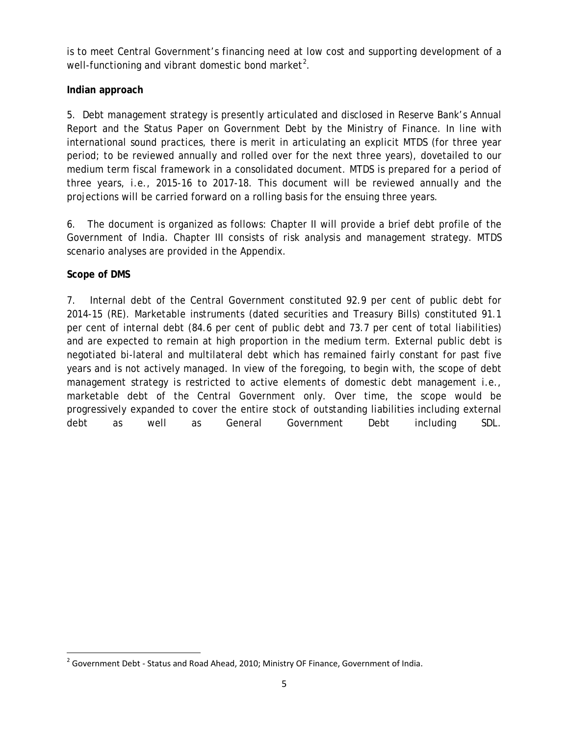is to meet Central Government's financing need at low cost and supporting development of a well-functioning and vibrant domestic bond market<sup>[2](#page-5-0)</sup>.

### **Indian approach**

5. Debt management strategy is presently articulated and disclosed in Reserve Bank's Annual Report and the Status Paper on Government Debt by the Ministry of Finance. In line with international sound practices, there is merit in articulating an explicit MTDS (for three year period; to be reviewed annually and rolled over for the next three years), dovetailed to our medium term fiscal framework in a consolidated document. MTDS is prepared for a period of three years, *i.e.*, 2015-16 to 2017-18. This document will be reviewed annually and the projections will be carried forward on a rolling basis for the ensuing three years.

6. The document is organized as follows: Chapter II will provide a brief debt profile of the Government of India. Chapter III consists of risk analysis and management strategy. MTDS scenario analyses are provided in the Appendix.

### **Scope of DMS**

7. Internal debt of the Central Government constituted 92.9 per cent of public debt for 2014-15 (RE). Marketable instruments (dated securities and Treasury Bills) constituted 91.1 per cent of internal debt (84.6 per cent of public debt and 73.7 per cent of total liabilities) and are expected to remain at high proportion in the medium term. External public debt is negotiated bi-lateral and multilateral debt which has remained fairly constant for past five years and is not actively managed. In view of the foregoing, to begin with, the scope of debt management strategy is restricted to active elements of domestic debt management *i.e.*, marketable debt of the Central Government only. Over time, the scope would be progressively expanded to cover the entire stock of outstanding liabilities including external debt as well as General Government Debt including SDL.

<span id="page-5-0"></span> $2$  Government Debt - Status and Road Ahead, 2010; Ministry OF Finance, Government of India.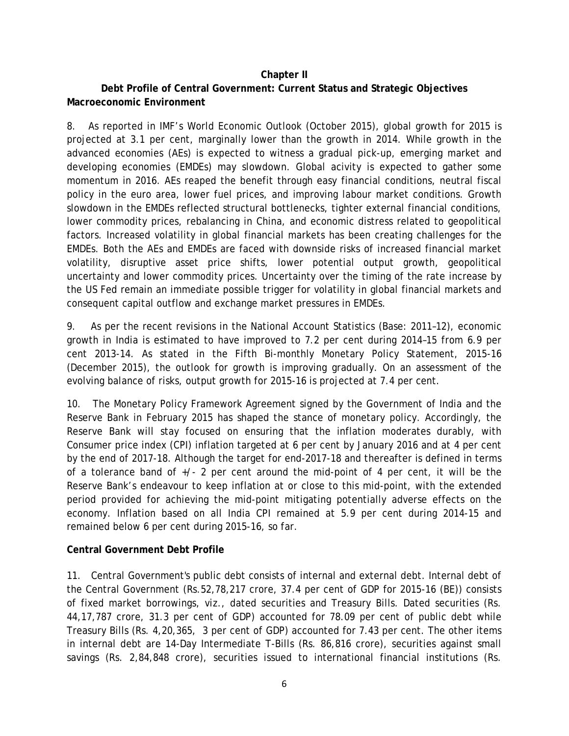#### **Chapter II**

### **Debt Profile of Central Government: Current Status and Strategic Objectives Macroeconomic Environment**

8. As reported in IMF's World Economic Outlook (October 2015), global growth for 2015 is projected at 3.1 per cent, marginally lower than the growth in 2014. While growth in the advanced economies (AEs) is expected to witness a gradual pick-up, emerging market and developing economies (EMDEs) may slowdown. Global acivity is expected to gather some momentum in 2016. AEs reaped the benefit through easy financial conditions, neutral fiscal policy in the euro area, lower fuel prices, and improving labour market conditions. Growth slowdown in the EMDEs reflected structural bottlenecks, tighter external financial conditions, lower commodity prices, rebalancing in China, and economic distress related to geopolitical factors. Increased volatility in global financial markets has been creating challenges for the EMDEs. Both the AEs and EMDEs are faced with downside risks of increased financial market volatility, disruptive asset price shifts, lower potential output growth, geopolitical uncertainty and lower commodity prices. Uncertainty over the timing of the rate increase by the US Fed remain an immediate possible trigger for volatility in global financial markets and consequent capital outflow and exchange market pressures in EMDEs.

9. As per the recent revisions in the National Account Statistics (Base: 2011–12), economic growth in India is estimated to have improved to 7.2 per cent during 2014–15 from 6.9 per cent 2013-14. As stated in the Fifth Bi-monthly Monetary Policy Statement, 2015-16 (December 2015), the outlook for growth is improving gradually. On an assessment of the evolving balance of risks, output growth for 2015-16 is projected at 7.4 per cent.

10. The Monetary Policy Framework Agreement signed by the Government of India and the Reserve Bank in February 2015 has shaped the stance of monetary policy. Accordingly, the Reserve Bank will stay focused on ensuring that the inflation moderates durably, with Consumer price index (CPI) inflation targeted at 6 per cent by January 2016 and at 4 per cent by the end of 2017-18. Although the target for end-2017-18 and thereafter is defined in terms of a tolerance band of  $+/-$  2 per cent around the mid-point of 4 per cent, it will be the Reserve Bank's endeavour to keep inflation at or close to this mid-point, with the extended period provided for achieving the mid-point mitigating potentially adverse effects on the economy. Inflation based on all India CPI remained at 5.9 per cent during 2014-15 and remained below 6 per cent during 2015-16, so far.

#### **Central Government Debt Profile**

11. Central Government's public debt consists of internal and external debt. Internal debt of the Central Government (Rs.52,78,217 crore, 37.4 per cent of GDP for 2015-16 (BE)) consists of fixed market borrowings, *viz.*, dated securities and Treasury Bills. Dated securities (Rs. 44,17,787 crore, 31.3 per cent of GDP) accounted for 78.09 per cent of public debt while Treasury Bills (Rs. 4,20,365, 3 per cent of GDP) accounted for 7.43 per cent. The other items in internal debt are 14-Day Intermediate T-Bills (Rs. 86,816 crore), securities against small savings (Rs. 2,84,848 crore), securities issued to international financial institutions (Rs.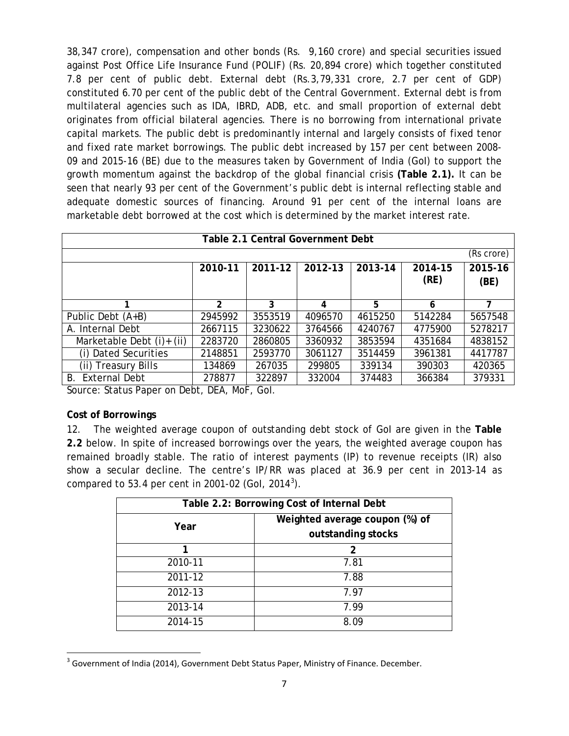38,347 crore), compensation and other bonds (Rs. 9,160 crore) and special securities issued against Post Office Life Insurance Fund (POLIF) (Rs. 20,894 crore) which together constituted 7.8 per cent of public debt. External debt (Rs.3,79,331 crore, 2.7 per cent of GDP) constituted 6.70 per cent of the public debt of the Central Government. External debt is from multilateral agencies such as IDA, IBRD, ADB, *etc*. and small proportion of external debt originates from official bilateral agencies. There is no borrowing from international private capital markets. The public debt is predominantly internal and largely consists of fixed tenor and fixed rate market borrowings. The public debt increased by 157 per cent between 2008- 09 and 2015-16 (BE) due to the measures taken by Government of India (GoI) to support the growth momentum against the backdrop of the global financial crisis **(Table 2.1).** It can be seen that nearly 93 per cent of the Government's public debt is internal reflecting stable and adequate domestic sources of financing. Around 91 per cent of the internal loans are marketable debt borrowed at the cost which is determined by the market interest rate.

| Table 2.1 Central Government Debt                                              |                |         |         |         |         |         |  |
|--------------------------------------------------------------------------------|----------------|---------|---------|---------|---------|---------|--|
| (Rs crore)                                                                     |                |         |         |         |         |         |  |
| 2011-12<br>2013-14<br>2012-13<br>2014-15<br>2015-16<br>2010-11<br>(RE)<br>(BE) |                |         |         |         |         |         |  |
|                                                                                | $\overline{2}$ | 3       | 4       | 5       | 6       |         |  |
| Public Debt (A+B)                                                              | 2945992        | 3553519 | 4096570 | 4615250 | 5142284 | 5657548 |  |
| A. Internal Debt                                                               | 2667115        | 3230622 | 3764566 | 4240767 | 4775900 | 5278217 |  |
| Marketable Debt (i)+ (ii)                                                      | 2283720        | 2860805 | 3360932 | 3853594 | 4351684 | 4838152 |  |
| (i) Dated Securities                                                           | 2148851        | 2593770 | 3061127 | 3514459 | 3961381 | 4417787 |  |
| (ii) Treasury Bills                                                            | 134869         | 267035  | 299805  | 339134  | 390303  | 420365  |  |
| <b>External Debt</b><br>В.                                                     | 278877         | 322897  | 332004  | 374483  | 366384  | 379331  |  |

Source: Status Paper on Debt, DEA, MoF, GoI.

#### **Cost of Borrowings**

12. The weighted average coupon of outstanding debt stock of GoI are given in the **Table 2.2** below. In spite of increased borrowings over the years, the weighted average coupon has remained broadly stable. The ratio of interest payments (IP) to revenue receipts (IR) also show a secular decline. The centre's IP/RR was placed at 36.9 per cent in 2013-14 as compared to 5[3](#page-7-0).4 per cent in 2001-02 (Gol, 2014<sup>3</sup>).

| Table 2.2: Borrowing Cost of Internal Debt           |  |  |  |  |
|------------------------------------------------------|--|--|--|--|
| Weighted average coupon (%) of<br>outstanding stocks |  |  |  |  |
|                                                      |  |  |  |  |
| 2                                                    |  |  |  |  |
| 7.81                                                 |  |  |  |  |
| 7.88                                                 |  |  |  |  |
| 7.97                                                 |  |  |  |  |
| 7.99                                                 |  |  |  |  |
| ጸ በዓ                                                 |  |  |  |  |
|                                                      |  |  |  |  |

<span id="page-7-0"></span><sup>&</sup>lt;sup>3</sup> Government of India (2014), Government Debt Status Paper, Ministry of Finance. December.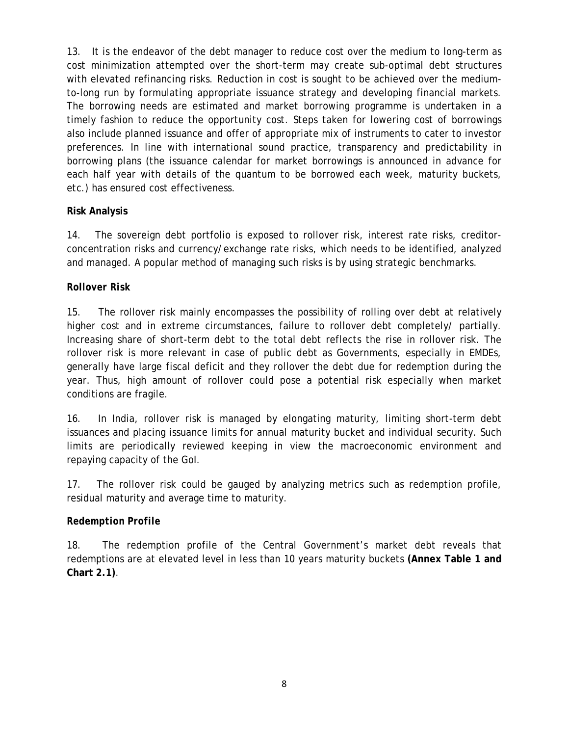13. It is the endeavor of the debt manager to reduce cost over the medium to long-term as cost minimization attempted over the short-term may create sub-optimal debt structures with elevated refinancing risks. Reduction in cost is sought to be achieved over the mediumto-long run by formulating appropriate issuance strategy and developing financial markets. The borrowing needs are estimated and market borrowing programme is undertaken in a timely fashion to reduce the opportunity cost. Steps taken for lowering cost of borrowings also include planned issuance and offer of appropriate mix of instruments to cater to investor preferences. In line with international sound practice, transparency and predictability in borrowing plans (the issuance calendar for market borrowings is announced in advance for each half year with details of the quantum to be borrowed each week, maturity buckets, *etc.*) has ensured cost effectiveness.

### **Risk Analysis**

14. The sovereign debt portfolio is exposed to rollover risk, interest rate risks, creditorconcentration risks and currency/exchange rate risks, which needs to be identified, analyzed and managed. A popular method of managing such risks is by using strategic benchmarks.

### *Rollover Risk*

15. The rollover risk mainly encompasses the possibility of rolling over debt at relatively higher cost and in extreme circumstances, failure to rollover debt completely/ partially. Increasing share of short-term debt to the total debt reflects the rise in rollover risk. The rollover risk is more relevant in case of public debt as Governments, especially in EMDEs, generally have large fiscal deficit and they rollover the debt due for redemption during the year. Thus, high amount of rollover could pose a potential risk especially when market conditions are fragile.

16. In India, rollover risk is managed by elongating maturity, limiting short-term debt issuances and placing issuance limits for annual maturity bucket and individual security. Such limits are periodically reviewed keeping in view the macroeconomic environment and repaying capacity of the GoI.

17. The rollover risk could be gauged by analyzing metrics such as redemption profile, residual maturity and average time to maturity.

## *Redemption Profile*

18. The redemption profile of the Central Government's market debt reveals that redemptions are at elevated level in less than 10 years maturity buckets **(Annex Table 1 and Chart 2.1)**.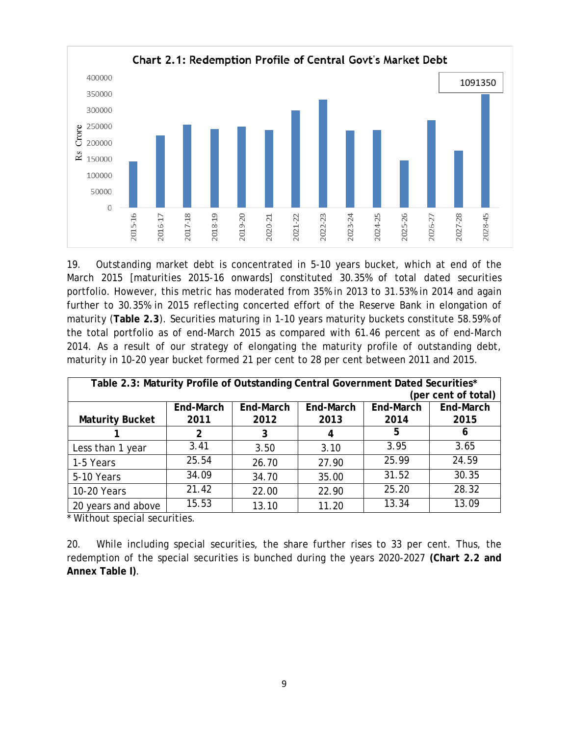

19. Outstanding market debt is concentrated in 5-10 years bucket, which at end of the March 2015 [maturities 2015-16 onwards] constituted 30.35% of total dated securities portfolio. However, this metric has moderated from 35% in 2013 to 31.53% in 2014 and again further to 30.35% in 2015 reflecting concerted effort of the Reserve Bank in elongation of maturity (**Table 2.3**). Securities maturing in 1-10 years maturity buckets constitute 58.59% of the total portfolio as of end-March 2015 as compared with 61.46 percent as of end-March 2014. As a result of our strategy of elongating the maturity profile of outstanding debt, maturity in 10-20 year bucket formed 21 per cent to 28 per cent between 2011 and 2015.

| Table 2.3: Maturity Profile of Outstanding Central Government Dated Securities* |                     |           |           |           |           |  |  |
|---------------------------------------------------------------------------------|---------------------|-----------|-----------|-----------|-----------|--|--|
|                                                                                 | (per cent of total) |           |           |           |           |  |  |
|                                                                                 | End-March           | End-March | End-March | End-March | End-March |  |  |
| <b>Maturity Bucket</b>                                                          | 2011                | 2012      | 2013      | 2014      | 2015      |  |  |
|                                                                                 | 2                   | 3         | 4         | 5         | 6         |  |  |
| Less than 1 year                                                                | 3.41                | 3.50      | 3.10      | 3.95      | 3.65      |  |  |
| 1-5 Years                                                                       | 25.54               | 26.70     | 27.90     | 25.99     | 24.59     |  |  |
| 5-10 Years                                                                      | 34.09               | 34.70     | 35.00     | 31.52     | 30.35     |  |  |
| 10-20 Years                                                                     | 21.42               | 22.00     | 22.90     | 25.20     | 28.32     |  |  |
| 20 years and above                                                              | 15.53               | 13.10     | 11.20     | 13.34     | 13.09     |  |  |

\* Without special securities.

20. While including special securities, the share further rises to 33 per cent. Thus, the redemption of the special securities is bunched during the years 2020-2027 **(Chart 2.2 and Annex Table I)**.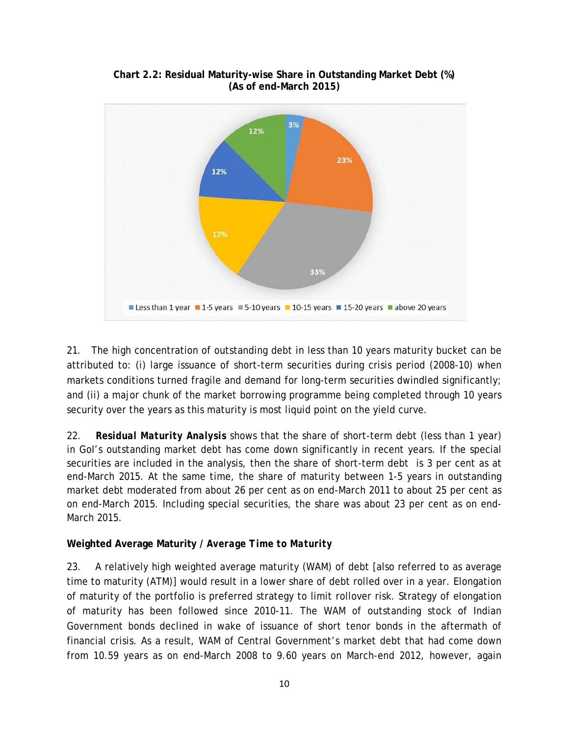

**Chart 2.2: Residual Maturity-wise Share in Outstanding Market Debt (%) (As of end-March 2015)**

21. The high concentration of outstanding debt in less than 10 years maturity bucket can be attributed to: (i) large issuance of short-term securities during crisis period (2008-10) when markets conditions turned fragile and demand for long-term securities dwindled significantly; and (ii) a major chunk of the market borrowing programme being completed through 10 years security over the years as this maturity is most liquid point on the yield curve.

22. *Residual Maturity Analysis* shows that the share of short-term debt (less than 1 year) in GoI's outstanding market debt has come down significantly in recent years. If the special securities are included in the analysis, then the share of short-term debt is 3 per cent as at end-March 2015. At the same time, the share of maturity between 1-5 years in outstanding market debt moderated from about 26 per cent as on end-March 2011 to about 25 per cent as on end-March 2015. Including special securities, the share was about 23 per cent as on end-March 2015.

### **Weighted Average Maturity /** *Average Time to Maturity*

23. A relatively high weighted average maturity (WAM) of debt [also referred to as average time to maturity (ATM)] would result in a lower share of debt rolled over in a year. Elongation of maturity of the portfolio is preferred strategy to limit rollover risk. Strategy of elongation of maturity has been followed since 2010-11. The WAM of outstanding stock of Indian Government bonds declined in wake of issuance of short tenor bonds in the aftermath of financial crisis. As a result, WAM of Central Government's market debt that had come down from 10.59 years as on end-March 2008 to 9.60 years on March-end 2012, however, again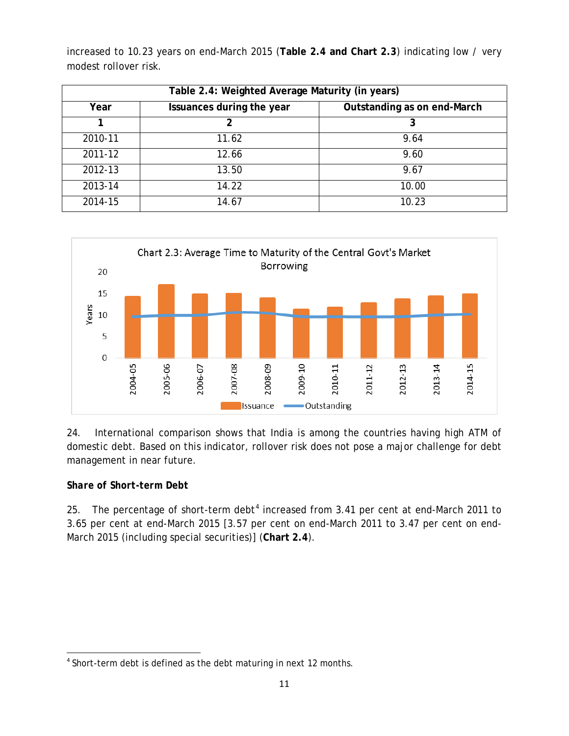| Table 2.4: Weighted Average Maturity (in years) |                             |       |  |  |
|-------------------------------------------------|-----------------------------|-------|--|--|
| Year                                            | Outstanding as on end-March |       |  |  |
|                                                 |                             | 3     |  |  |
| 2010-11                                         | 11.62                       | 9.64  |  |  |
| 2011-12                                         | 12.66                       | 9.60  |  |  |
| 2012-13                                         | 13.50                       | 9.67  |  |  |
| 2013-14                                         | 14.22                       | 10.00 |  |  |
| 2014-15                                         | 14.67                       | 10.23 |  |  |

increased to 10.23 years on end-March 2015 (**Table 2.4 and Chart 2.3**) indicating low / very modest rollover risk.



24. International comparison shows that India is among the countries having high ATM of domestic debt. Based on this indicator, rollover risk does not pose a major challenge for debt management in near future.

### *Share of Short-term Debt*

25. The percentage of short-term debt<sup>[4](#page-11-0)</sup> increased from 3.41 per cent at end-March 2011 to 3.65 per cent at end-March 2015 [3.57 per cent on end-March 2011 to 3.47 per cent on end-March 2015 (including special securities)] (**Chart 2.4**).

<span id="page-11-0"></span><sup>&</sup>lt;sup>4</sup> Short-term debt is defined as the debt maturing in next 12 months.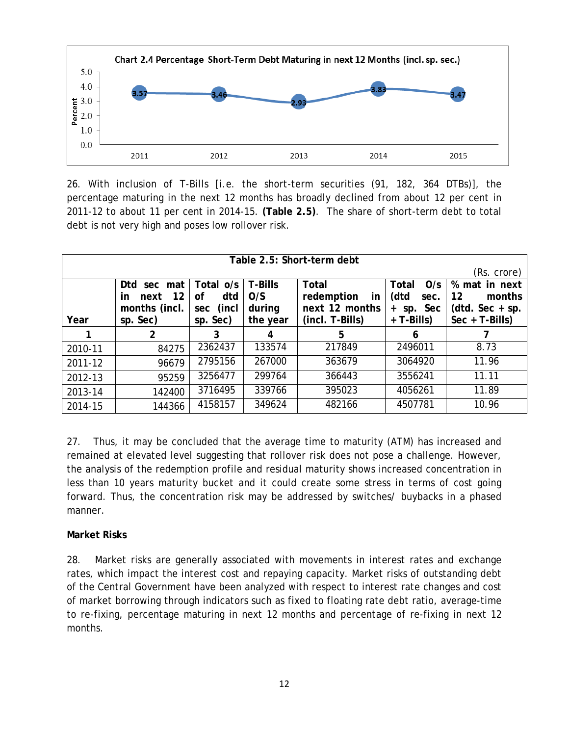

26. With inclusion of T-Bills [*i.e.* the short-term securities (91, 182, 364 DTBs)], the percentage maturing in the next 12 months has broadly declined from about 12 per cent in 2011-12 to about 11 per cent in 2014-15. **(Table 2.5)**. The share of short-term debt to total debt is not very high and poses low rollover risk.

| Table 2.5: Short-term debt |                         |              |                |                         |                |                   |  |
|----------------------------|-------------------------|--------------|----------------|-------------------------|----------------|-------------------|--|
|                            | (Rs. crore)             |              |                |                         |                |                   |  |
|                            | Dtd<br>sec mat          | Total o/s    | <b>T-Bills</b> | <b>Total</b>            | O/s<br>Total   | % mat in next     |  |
|                            | 12<br>next<br><u>in</u> | dtd<br>of    | O/S            | redemption<br><u>in</u> | (dtd<br>sec.   | 12<br>months      |  |
|                            | months (incl.           | (incl<br>sec | during         | next 12 months          | sp. Sec<br>$+$ | $(ddd.$ Sec + sp. |  |
| Year                       | sp. Sec)                | sp. Sec)     | the year       | (incl. T-Bills)         | $+T-Bills)$    | $Sec + T-Bills)$  |  |
|                            | 2                       | 3            | 4              | 5                       | 6              |                   |  |
| 2010-11                    | 84275                   | 2362437      | 133574         | 217849                  | 2496011        | 8.73              |  |
| 2011-12                    | 96679                   | 2795156      | 267000         | 363679                  | 3064920        | 11.96             |  |
| 2012-13                    | 95259                   | 3256477      | 299764         | 366443                  | 3556241        | 11.11             |  |
| 2013-14                    | 142400                  | 3716495      | 339766         | 395023                  | 4056261        | 11.89             |  |
| 2014-15                    | 144366                  | 4158157      | 349624         | 482166                  | 4507781        | 10.96             |  |

27. Thus, it may be concluded that the average time to maturity (ATM) has increased and remained at elevated level suggesting that rollover risk does not pose a challenge. However, the analysis of the redemption profile and residual maturity shows increased concentration in less than 10 years maturity bucket and it could create some stress in terms of cost going forward. Thus, the concentration risk may be addressed by switches/ buybacks in a phased manner.

#### **Market Risks**

28. Market risks are generally associated with movements in interest rates and exchange rates, which impact the interest cost and repaying capacity. Market risks of outstanding debt of the Central Government have been analyzed with respect to interest rate changes and cost of market borrowing through indicators such as fixed to floating rate debt ratio, average-time to re-fixing, percentage maturing in next 12 months and percentage of re-fixing in next 12 months.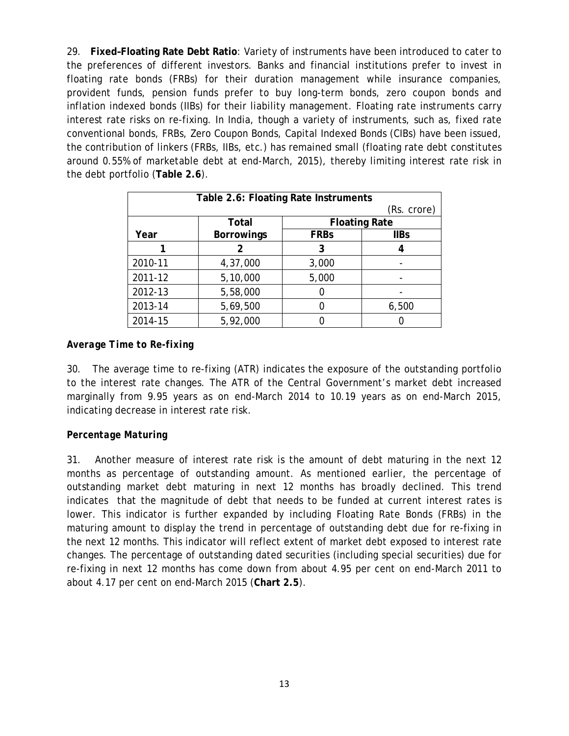29. **Fixed–Floating Rate Debt Ratio**: Variety of instruments have been introduced to cater to the preferences of different investors. Banks and financial institutions prefer to invest in floating rate bonds (FRBs) for their duration management while insurance companies, provident funds, pension funds prefer to buy long-term bonds, zero coupon bonds and inflation indexed bonds (IIBs) for their liability management. Floating rate instruments carry interest rate risks on re-fixing. In India, though a variety of instruments, such as, fixed rate conventional bonds, FRBs, Zero Coupon Bonds, Capital Indexed Bonds (CIBs) have been issued, the contribution of linkers (FRBs, IIBs, *etc.*) has remained small (floating rate debt constitutes around 0.55% of marketable debt at end-March, 2015), thereby limiting interest rate risk in the debt portfolio (**Table 2.6**).

| Table 2.6: Floating Rate Instruments |                   |             |                      |  |  |  |
|--------------------------------------|-------------------|-------------|----------------------|--|--|--|
|                                      | (Rs. crore)       |             |                      |  |  |  |
|                                      | Total             |             | <b>Floating Rate</b> |  |  |  |
| Year                                 | <b>Borrowings</b> | <b>FRBs</b> | <b>IIBs</b>          |  |  |  |
|                                      | 2                 | 3           |                      |  |  |  |
| 2010-11                              | 4,37,000          | 3,000       |                      |  |  |  |
| 2011-12                              | 5,10,000          | 5,000       |                      |  |  |  |
| 2012-13                              | 5,58,000          |             |                      |  |  |  |
| 2013-14                              | 5,69,500          |             | 6,500                |  |  |  |
| 2014-15                              | 5,92,000          |             |                      |  |  |  |

### *Average Time to Re-fixing*

30. The average time to re-fixing (ATR) indicates the exposure of the outstanding portfolio to the interest rate changes. The ATR of the Central Government's market debt increased marginally from 9.95 years as on end-March 2014 to 10.19 years as on end-March 2015, indicating decrease in interest rate risk.

### *Percentage Maturing*

31. Another measure of interest rate risk is the amount of debt maturing in the next 12 months as percentage of outstanding amount. As mentioned earlier, the percentage of outstanding market debt maturing in next 12 months has broadly declined. This trend indicates that the magnitude of debt that needs to be funded at current interest rates is lower. This indicator is further expanded by including Floating Rate Bonds (FRBs) in the maturing amount to display the trend in percentage of outstanding debt due for re-fixing in the next 12 months. This indicator will reflect extent of market debt exposed to interest rate changes. The percentage of outstanding dated securities (including special securities) due for re-fixing in next 12 months has come down from about 4.95 per cent on end-March 2011 to about 4.17 per cent on end-March 2015 (**Chart 2.5**).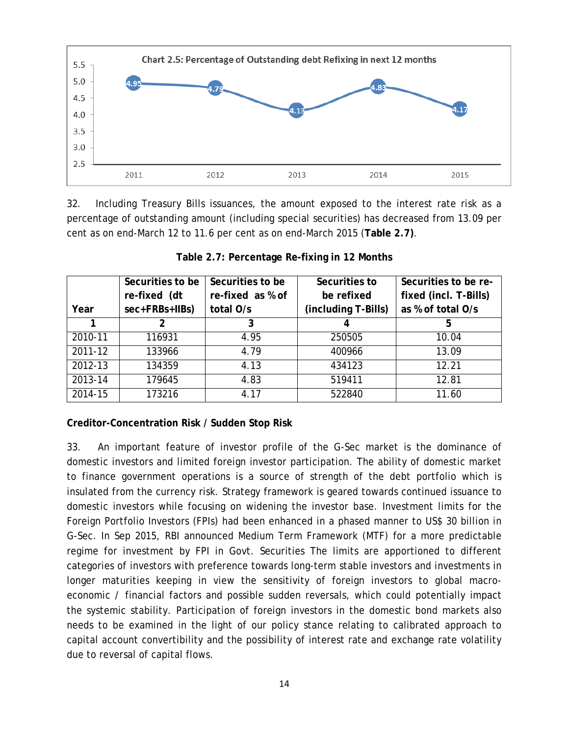

32. Including Treasury Bills issuances, the amount exposed to the interest rate risk as a percentage of outstanding amount (including special securities) has decreased from 13.09 per cent as on end-March 12 to 11.6 per cent as on end-March 2015 (**Table 2.7)**.

|         | Securities to be | Securities to be | Securities to       | Securities to be re-  |
|---------|------------------|------------------|---------------------|-----------------------|
|         | re-fixed (dt     | re-fixed as % of | be refixed          | fixed (incl. T-Bills) |
| Year    | sec+FRBs+IIBs)   | total O/s        | (including T-Bills) | as % of total O/s     |
|         | 2                |                  |                     | 5                     |
| 2010-11 | 116931           | 4.95             | 250505              | 10.04                 |
| 2011-12 | 133966           | 4.79             | 400966              | 13.09                 |
| 2012-13 | 134359           | 4.13             | 434123              | 12.21                 |
| 2013-14 | 179645           | 4.83             | 519411              | 12.81                 |
| 2014-15 | 173216           | 4.17             | 522840              | 11.60                 |

#### **Table 2.7: Percentage Re-fixing in 12 Months**

### **Creditor-Concentration Risk / Sudden Stop Risk**

33. An important feature of investor profile of the G-Sec market is the dominance of domestic investors and limited foreign investor participation. The ability of domestic market to finance government operations is a source of strength of the debt portfolio which is insulated from the currency risk. Strategy framework is geared towards continued issuance to domestic investors while focusing on widening the investor base. Investment limits for the Foreign Portfolio Investors (FPIs) had been enhanced in a phased manner to US\$ 30 billion in G-Sec. In Sep 2015, RBI announced Medium Term Framework (MTF) for a more predictable regime for investment by FPI in Govt. Securities The limits are apportioned to different categories of investors with preference towards long-term stable investors and investments in longer maturities keeping in view the sensitivity of foreign investors to global macroeconomic / financial factors and possible sudden reversals, which could potentially impact the systemic stability. Participation of foreign investors in the domestic bond markets also needs to be examined in the light of our policy stance relating to calibrated approach to capital account convertibility and the possibility of interest rate and exchange rate volatility due to reversal of capital flows.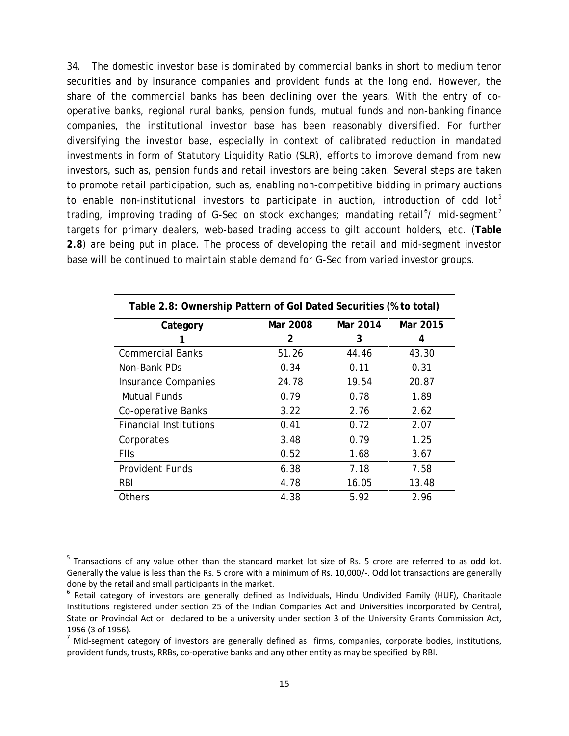34. The domestic investor base is dominated by commercial banks in short to medium tenor securities and by insurance companies and provident funds at the long end. However, the share of the commercial banks has been declining over the years. With the entry of cooperative banks, regional rural banks, pension funds, mutual funds and non-banking finance companies, the institutional investor base has been reasonably diversified. For further diversifying the investor base, especially in context of calibrated reduction in mandated investments in form of Statutory Liquidity Ratio (SLR), efforts to improve demand from new investors, such as, pension funds and retail investors are being taken. Several steps are taken to promote retail participation, such as, enabling non-competitive bidding in primary auctions to enable non-institutional investors to participate in auction, introduction of odd lot<sup>[5](#page-15-0)</sup> trading, improving trading of G-Sec on stock exchanges; mandating retail<sup>[6](#page-15-1)</sup>/ mid-segment<sup>[7](#page-15-2)</sup> targets for primary dealers, web-based trading access to gilt account holders, *etc.* (**Table 2.8**) are being put in place. The process of developing the retail and mid-segment investor base will be continued to maintain stable demand for G-Sec from varied investor groups.

| Table 2.8: Ownership Pattern of Gol Dated Securities (% to total) |                |          |          |  |  |
|-------------------------------------------------------------------|----------------|----------|----------|--|--|
| Category                                                          | Mar 2008       | Mar 2014 | Mar 2015 |  |  |
|                                                                   | $\overline{2}$ | 3        | 4        |  |  |
| <b>Commercial Banks</b>                                           | 51.26          | 44.46    | 43.30    |  |  |
| Non-Bank PDs                                                      | 0.34           | 0.11     | 0.31     |  |  |
| <b>Insurance Companies</b>                                        | 24.78          | 19.54    | 20.87    |  |  |
| Mutual Funds                                                      | 0.79           | 0.78     | 1.89     |  |  |
| Co-operative Banks                                                | 3.22           | 2.76     | 2.62     |  |  |
| <b>Financial Institutions</b>                                     | 0.41           | 0.72     | 2.07     |  |  |
| Corporates                                                        | 3.48           | 0.79     | 1.25     |  |  |
| <b>FIIs</b>                                                       | 0.52           | 1.68     | 3.67     |  |  |
| <b>Provident Funds</b>                                            | 6.38           | 7.18     | 7.58     |  |  |
| <b>RBI</b>                                                        | 4.78           | 16.05    | 13.48    |  |  |
| Others                                                            | 4.38           | 5.92     | 2.96     |  |  |

<span id="page-15-0"></span><sup>&</sup>lt;sup>5</sup> Transactions of any value other than the standard market lot size of Rs. 5 crore are referred to as odd lot. Generally the value is less than the Rs. 5 crore with a minimum of Rs. 10,000/-. Odd lot transactions are generally done by the retail and small participants in the market.<br><sup>6</sup> Retail category of investors are generally defined as Individuals, Hindu Undivided Family (HUF), Charitable

<span id="page-15-1"></span>Institutions registered under section 25 of the Indian Companies Act and Universities incorporated by Central, State or Provincial Act or declared to be a university under section 3 of the University Grants Commission Act, 1956 (3 of 1956).<br><sup>7</sup> Mid-segment category of investors are generally defined as firms, companies, corporate bodies, institutions,

<span id="page-15-2"></span>provident funds, trusts, RRBs, co-operative banks and any other entity as may be specified by RBI.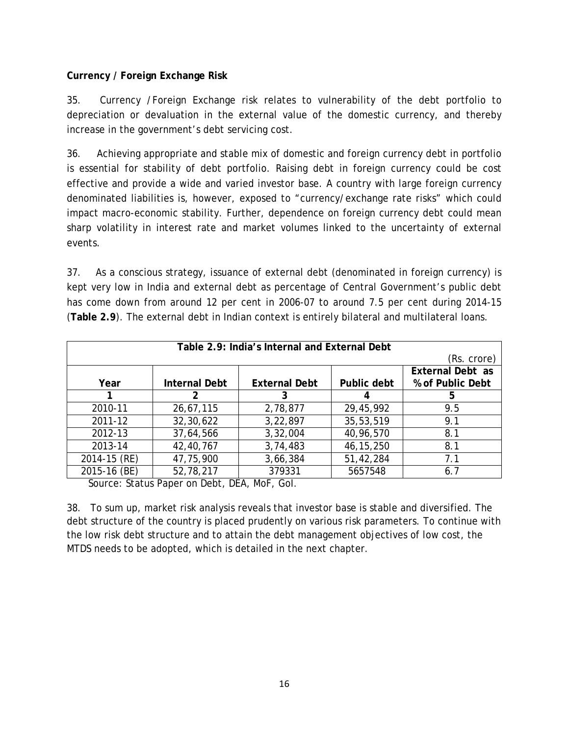### **Currency / Foreign Exchange Risk**

35. Currency /Foreign Exchange risk relates to vulnerability of the debt portfolio to depreciation or devaluation in the external value of the domestic currency, and thereby increase in the government's debt servicing cost.

36. Achieving appropriate and stable mix of domestic and foreign currency debt in portfolio is essential for stability of debt portfolio. Raising debt in foreign currency could be cost effective and provide a wide and varied investor base. A country with large foreign currency denominated liabilities is, however, exposed to "currency/exchange rate risks" which could impact macro-economic stability. Further, dependence on foreign currency debt could mean sharp volatility in interest rate and market volumes linked to the uncertainty of external events.

37. As a conscious strategy, issuance of external debt (denominated in foreign currency) is kept very low in India and external debt as percentage of Central Government's public debt has come down from around 12 per cent in 2006-07 to around 7.5 per cent during 2014-15 (**Table 2.9**). The external debt in Indian context is entirely bilateral and multilateral loans.

| Table 2.9: India's Internal and External Debt |                      |                      |             |                         |  |
|-----------------------------------------------|----------------------|----------------------|-------------|-------------------------|--|
|                                               |                      |                      |             | (Rs. crore)             |  |
|                                               |                      |                      |             | <b>External Debt as</b> |  |
| Year                                          | <b>Internal Debt</b> | <b>External Debt</b> | Public debt | % of Public Debt        |  |
|                                               | 2                    |                      |             | 5                       |  |
| 2010-11                                       | 26,67,115            | 2,78,877             | 29,45,992   | 9.5                     |  |
| 2011-12                                       | 32,30,622            | 3,22,897             | 35,53,519   | 9.1                     |  |
| 2012-13                                       | 37,64,566            | 3,32,004             | 40,96,570   | 8.1                     |  |
| 2013-14                                       | 42,40,767            | 3,74,483             | 46, 15, 250 | 8.1                     |  |
| 2014-15 (RE)                                  | 47,75,900            | 3,66,384             | 51,42,284   | 7.1                     |  |
| 2015-16 (BE)                                  | 52,78,217            | 379331               | 5657548     | 6.7                     |  |

Source: Status Paper on Debt, DEA, MoF, GoI.

38. To sum up, market risk analysis reveals that investor base is stable and diversified. The debt structure of the country is placed prudently on various risk parameters. To continue with the low risk debt structure and to attain the debt management objectives of low cost, the MTDS needs to be adopted, which is detailed in the next chapter.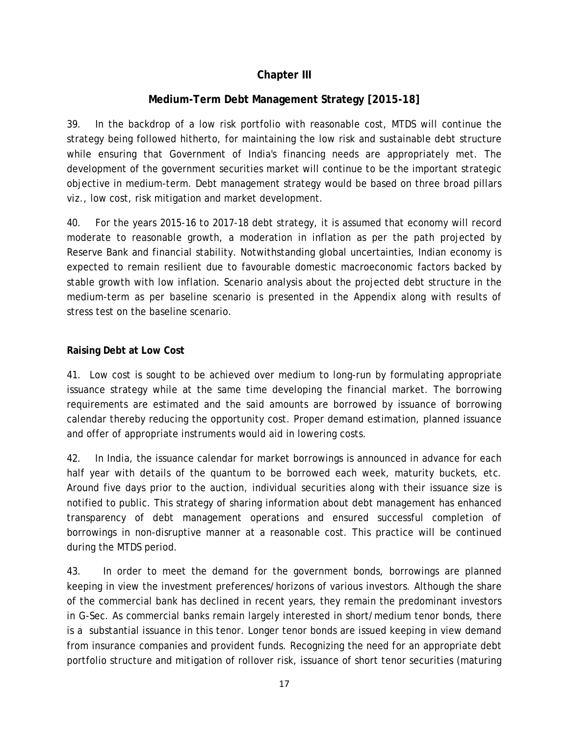## **Chapter III**

### **Medium-Term Debt Management Strategy [2015-18]**

39. In the backdrop of a low risk portfolio with reasonable cost, MTDS will continue the strategy being followed hitherto, for maintaining the low risk and sustainable debt structure while ensuring that Government of India's financing needs are appropriately met. The development of the government securities market will continue to be the important strategic objective in medium-term. Debt management strategy would be based on three broad pillars *viz.*, low cost, risk mitigation and market development.

40. For the years 2015-16 to 2017-18 debt strategy, it is assumed that economy will record moderate to reasonable growth, a moderation in inflation as per the path projected by Reserve Bank and financial stability. Notwithstanding global uncertainties, Indian economy is expected to remain resilient due to favourable domestic macroeconomic factors backed by stable growth with low inflation. Scenario analysis about the projected debt structure in the medium-term as per baseline scenario is presented in the Appendix along with results of stress test on the baseline scenario.

#### **Raising Debt at Low Cost**

41. Low cost is sought to be achieved over medium to long-run by formulating appropriate issuance strategy while at the same time developing the financial market. The borrowing requirements are estimated and the said amounts are borrowed by issuance of borrowing calendar thereby reducing the opportunity cost. Proper demand estimation, planned issuance and offer of appropriate instruments would aid in lowering costs.

42. In India, the issuance calendar for market borrowings is announced in advance for each half year with details of the quantum to be borrowed each week, maturity buckets, *etc.* Around five days prior to the auction, individual securities along with their issuance size is notified to public. This strategy of sharing information about debt management has enhanced transparency of debt management operations and ensured successful completion of borrowings in non-disruptive manner at a reasonable cost. This practice will be continued during the MTDS period.

43. In order to meet the demand for the government bonds, borrowings are planned keeping in view the investment preferences/horizons of various investors. Although the share of the commercial bank has declined in recent years, they remain the predominant investors in G-Sec. As commercial banks remain largely interested in short/medium tenor bonds, there is a substantial issuance in this tenor. Longer tenor bonds are issued keeping in view demand from insurance companies and provident funds. Recognizing the need for an appropriate debt portfolio structure and mitigation of rollover risk, issuance of short tenor securities (maturing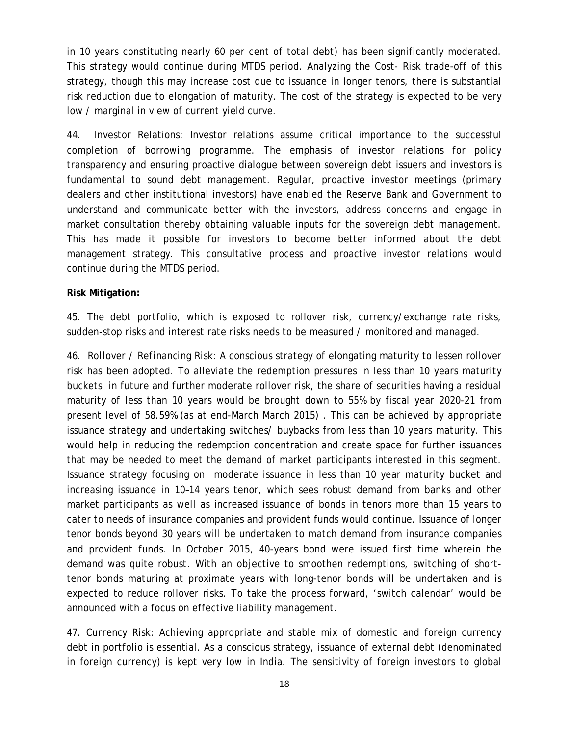in 10 years constituting nearly 60 per cent of total debt) has been significantly moderated. This strategy would continue during MTDS period. Analyzing the Cost- Risk trade-off of this strategy, though this may increase cost due to issuance in longer tenors, there is substantial risk reduction due to elongation of maturity. The cost of the strategy is expected to be very low / marginal in view of current yield curve.

44. Investor Relations: Investor relations assume critical importance to the successful completion of borrowing programme. The emphasis of investor relations for policy transparency and ensuring proactive dialogue between sovereign debt issuers and investors is fundamental to sound debt management. Regular, proactive investor meetings (primary dealers and other institutional investors) have enabled the Reserve Bank and Government to understand and communicate better with the investors, address concerns and engage in market consultation thereby obtaining valuable inputs for the sovereign debt management. This has made it possible for investors to become better informed about the debt management strategy. This consultative process and proactive investor relations would continue during the MTDS period.

#### **Risk Mitigation:**

45. The debt portfolio, which is exposed to rollover risk, currency/exchange rate risks, sudden-stop risks and interest rate risks needs to be measured / monitored and managed.

46. *Rollover / Refinancing Risk*: A conscious strategy of elongating maturity to lessen rollover risk has been adopted. To alleviate the redemption pressures in less than 10 years maturity buckets in future and further moderate rollover risk, the share of securities having a residual maturity of less than 10 years would be brought down to 55% by fiscal year 2020-21 from present level of 58.59% (as at end-March March 2015) . This can be achieved by appropriate issuance strategy and undertaking switches/ buybacks from less than 10 years maturity. This would help in reducing the redemption concentration and create space for further issuances that may be needed to meet the demand of market participants interested in this segment. Issuance strategy focusing on moderate issuance in less than 10 year maturity bucket and increasing issuance in 10–14 years tenor, which sees robust demand from banks and other market participants as well as increased issuance of bonds in tenors more than 15 years to cater to needs of insurance companies and provident funds would continue. Issuance of longer tenor bonds beyond 30 years will be undertaken to match demand from insurance companies and provident funds. In October 2015, 40-years bond were issued first time wherein the demand was quite robust. With an objective to smoothen redemptions, switching of shorttenor bonds maturing at proximate years with long-tenor bonds will be undertaken and is expected to reduce rollover risks. To take the process forward, 'switch calendar' would be announced with a focus on effective liability management.

47*. Currency Risk*: Achieving appropriate and stable mix of domestic and foreign currency debt in portfolio is essential. As a conscious strategy, issuance of external debt (denominated in foreign currency) is kept very low in India. The sensitivity of foreign investors to global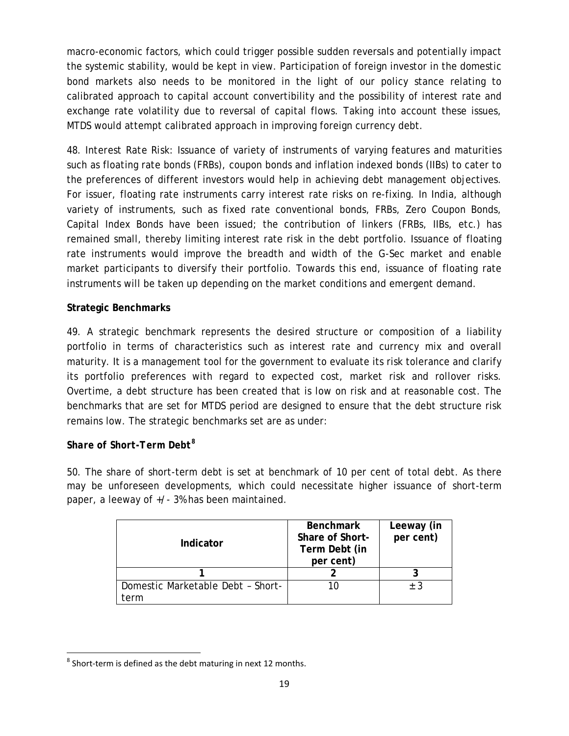macro-economic factors, which could trigger possible sudden reversals and potentially impact the systemic stability, would be kept in view. Participation of foreign investor in the domestic bond markets also needs to be monitored in the light of our policy stance relating to calibrated approach to capital account convertibility and the possibility of interest rate and exchange rate volatility due to reversal of capital flows. Taking into account these issues, MTDS would attempt calibrated approach in improving foreign currency debt.

48. *Interest Rate Risk*: Issuance of variety of instruments of varying features and maturities such as floating rate bonds (FRBs), coupon bonds and inflation indexed bonds (IIBs) to cater to the preferences of different investors would help in achieving debt management objectives. For issuer, floating rate instruments carry interest rate risks on re-fixing. In India, although variety of instruments, such as fixed rate conventional bonds, FRBs, Zero Coupon Bonds, Capital Index Bonds have been issued; the contribution of linkers (FRBs, IIBs, *etc.*) has remained small, thereby limiting interest rate risk in the debt portfolio. Issuance of floating rate instruments would improve the breadth and width of the G-Sec market and enable market participants to diversify their portfolio. Towards this end, issuance of floating rate instruments will be taken up depending on the market conditions and emergent demand.

### **Strategic Benchmarks**

49. A strategic benchmark represents the desired structure or composition of a liability portfolio in terms of characteristics such as interest rate and currency mix and overall maturity. It is a management tool for the government to evaluate its risk tolerance and clarify its portfolio preferences with regard to expected cost, market risk and rollover risks. Overtime, a debt structure has been created that is low on risk and at reasonable cost. The benchmarks that are set for MTDS period are designed to ensure that the debt structure risk remains low. The strategic benchmarks set are as under:

### *Share of Short-Term Debt[8](#page-19-0)*

50. The share of short-term debt is set at benchmark of 10 per cent of total debt. As there may be unforeseen developments, which could necessitate higher issuance of short-term paper, a leeway of +/- 3% has been maintained.

| Indicator                         | <b>Benchmark</b><br>Share of Short-<br>Term Debt (in<br>per cent) | Leeway (in<br>per cent) |
|-----------------------------------|-------------------------------------------------------------------|-------------------------|
|                                   |                                                                   |                         |
| Domestic Marketable Debt - Short- | 10                                                                | + 3                     |
| ∙erm                              |                                                                   |                         |

<span id="page-19-0"></span> $8$  Short-term is defined as the debt maturing in next 12 months.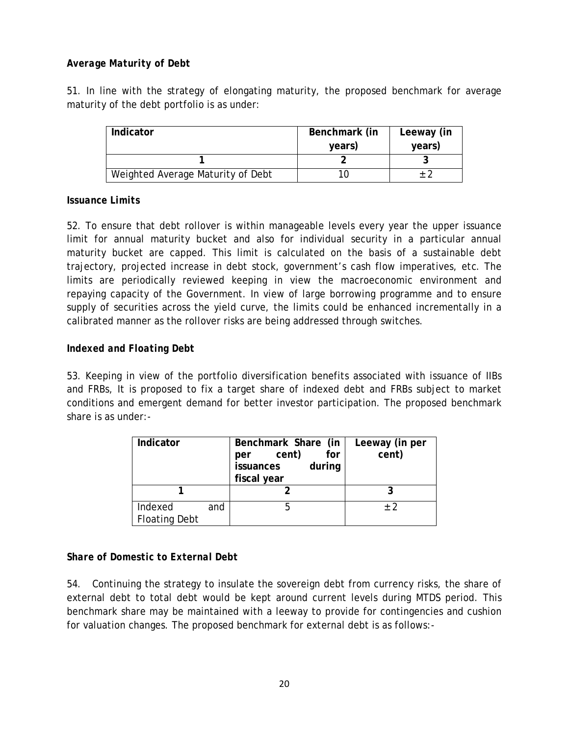### *Average Maturity of Debt*

51. In line with the strategy of elongating maturity, the proposed benchmark for average maturity of the debt portfolio is as under:

| Indicator                         | Benchmark (in | Leeway (in |
|-----------------------------------|---------------|------------|
|                                   | years)        | years)     |
|                                   |               |            |
| Weighted Average Maturity of Debt |               |            |

#### *Issuance Limits*

52. To ensure that debt rollover is within manageable levels every year the upper issuance limit for annual maturity bucket and also for individual security in a particular annual maturity bucket are capped. This limit is calculated on the basis of a sustainable debt trajectory, projected increase in debt stock, government's cash flow imperatives, *etc.* The limits are periodically reviewed keeping in view the macroeconomic environment and repaying capacity of the Government. In view of large borrowing programme and to ensure supply of securities across the yield curve, the limits could be enhanced incrementally in a calibrated manner as the rollover risks are being addressed through switches.

#### *Indexed and Floating Debt*

53. Keeping in view of the portfolio diversification benefits associated with issuance of IIBs and FRBs, It is proposed to fix a target share of indexed debt and FRBs subject to market conditions and emergent demand for better investor participation. The proposed benchmark share is as under:-

| Indicator                       |     | Benchmark Share (in<br>cent)<br>for<br>per<br>during<br>issuances<br>fiscal year | Leeway (in per<br>cent) |
|---------------------------------|-----|----------------------------------------------------------------------------------|-------------------------|
|                                 |     |                                                                                  |                         |
| Indexed<br><b>Floating Debt</b> | and |                                                                                  | $+2$                    |

### *Share of Domestic to External Debt*

54. Continuing the strategy to insulate the sovereign debt from currency risks, the share of external debt to total debt would be kept around current levels during MTDS period. This benchmark share may be maintained with a leeway to provide for contingencies and cushion for valuation changes. The proposed benchmark for external debt is as follows:-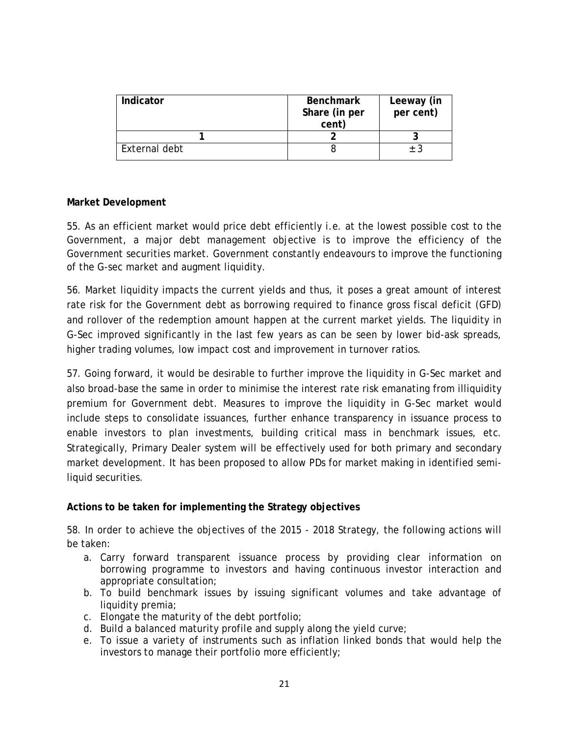| Indicator     | <b>Benchmark</b><br>Share (in per<br>cent) | Leeway (in<br>per cent) |
|---------------|--------------------------------------------|-------------------------|
|               |                                            |                         |
| External debt |                                            | ± 3                     |

#### **Market Development**

55. As an efficient market would price debt efficiently *i.e.* at the lowest possible cost to the Government, a major debt management objective is to improve the efficiency of the Government securities market. Government constantly endeavours to improve the functioning of the G-sec market and augment liquidity.

56. Market liquidity impacts the current yields and thus, it poses a great amount of interest rate risk for the Government debt as borrowing required to finance gross fiscal deficit (GFD) and rollover of the redemption amount happen at the current market yields. The liquidity in G-Sec improved significantly in the last few years as can be seen by lower bid-ask spreads, higher trading volumes, low impact cost and improvement in turnover ratios.

57. Going forward, it would be desirable to further improve the liquidity in G-Sec market and also broad-base the same in order to minimise the interest rate risk emanating from illiquidity premium for Government debt. Measures to improve the liquidity in G-Sec market would include steps to consolidate issuances, further enhance transparency in issuance process to enable investors to plan investments, building critical mass in benchmark issues, *etc.* Strategically, Primary Dealer system will be effectively used for both primary and secondary market development. It has been proposed to allow PDs for market making in identified semiliquid securities.

#### **Actions to be taken for implementing the Strategy objectives**

58. In order to achieve the objectives of the 2015 - 2018 Strategy, the following actions will be taken:

- a. Carry forward transparent issuance process by providing clear information on borrowing programme to investors and having continuous investor interaction and appropriate consultation;
- b. To build benchmark issues by issuing significant volumes and take advantage of liquidity premia;
- c. Elongate the maturity of the debt portfolio;
- d. Build a balanced maturity profile and supply along the yield curve;
- e. To issue a variety of instruments such as inflation linked bonds that would help the investors to manage their portfolio more efficiently;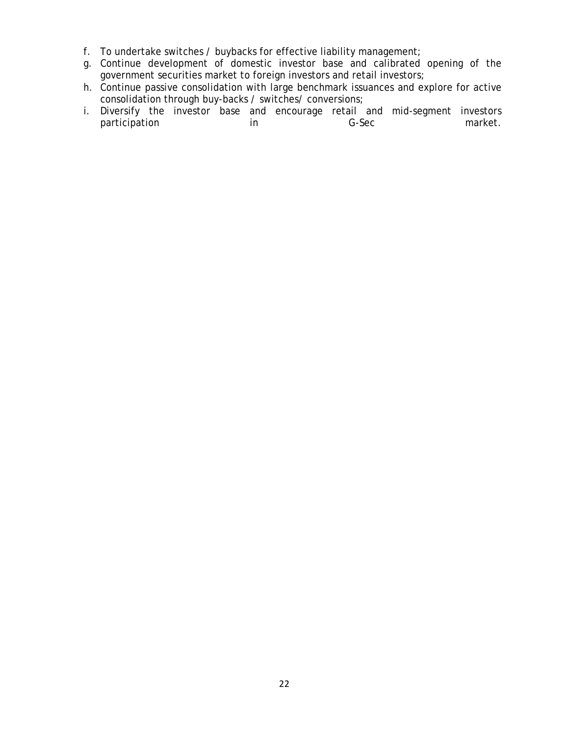- f. To undertake switches / buybacks for effective liability management;
- g. Continue development of domestic investor base and calibrated opening of the government securities market to foreign investors and retail investors;
- h. Continue passive consolidation with large benchmark issuances and explore for active consolidation through buy-backs / switches/ conversions;
- i. Diversify the investor base and encourage retail and mid-segment investors<br>market. participation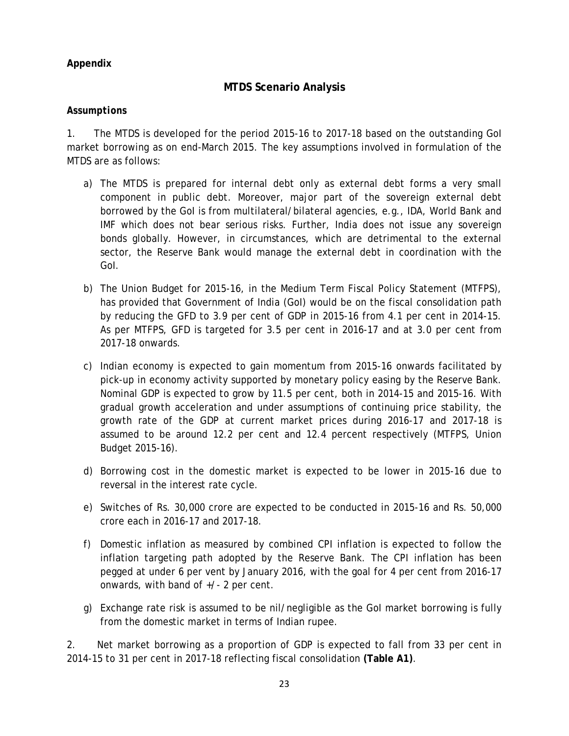### **Appendix**

## **MTDS Scenario Analysis**

#### *Assumptions*

1. The MTDS is developed for the period 2015-16 to 2017-18 based on the outstanding GoI market borrowing as on end-March 2015. The key assumptions involved in formulation of the MTDS are as follows:

- a) The MTDS is prepared for internal debt only as external debt forms a very small component in public debt. Moreover, major part of the sovereign external debt borrowed by the GoI is from multilateral/bilateral agencies, e.g., IDA, World Bank and IMF which does not bear serious risks. Further, India does not issue any sovereign bonds globally. However, in circumstances, which are detrimental to the external sector, the Reserve Bank would manage the external debt in coordination with the GoI.
- b) The Union Budget for 2015-16, in the Medium Term Fiscal Policy Statement (MTFPS), has provided that Government of India (GoI) would be on the fiscal consolidation path by reducing the GFD to 3.9 per cent of GDP in 2015-16 from 4.1 per cent in 2014-15. As per MTFPS, GFD is targeted for 3.5 per cent in 2016-17 and at 3.0 per cent from 2017-18 onwards.
- c) Indian economy is expected to gain momentum from 2015-16 onwards facilitated by pick-up in economy activity supported by monetary policy easing by the Reserve Bank. Nominal GDP is expected to grow by 11.5 per cent, both in 2014-15 and 2015-16. With gradual growth acceleration and under assumptions of continuing price stability, the growth rate of the GDP at current market prices during 2016-17 and 2017-18 is assumed to be around 12.2 per cent and 12.4 percent respectively (MTFPS, Union Budget 2015-16).
- d) Borrowing cost in the domestic market is expected to be lower in 2015-16 due to reversal in the interest rate cycle.
- e) Switches of Rs. 30,000 crore are expected to be conducted in 2015-16 and Rs. 50,000 crore each in 2016-17 and 2017-18.
- f) Domestic inflation as measured by combined CPI inflation is expected to follow the inflation targeting path adopted by the Reserve Bank. The CPI inflation has been pegged at under 6 per vent by January 2016, with the goal for 4 per cent from 2016-17 onwards, with band of +/- 2 per cent.
- g) Exchange rate risk is assumed to be nil/negligible as the GoI market borrowing is fully from the domestic market in terms of Indian rupee.

2. Net market borrowing as a proportion of GDP is expected to fall from 33 per cent in 2014-15 to 31 per cent in 2017-18 reflecting fiscal consolidation **(Table A1)**.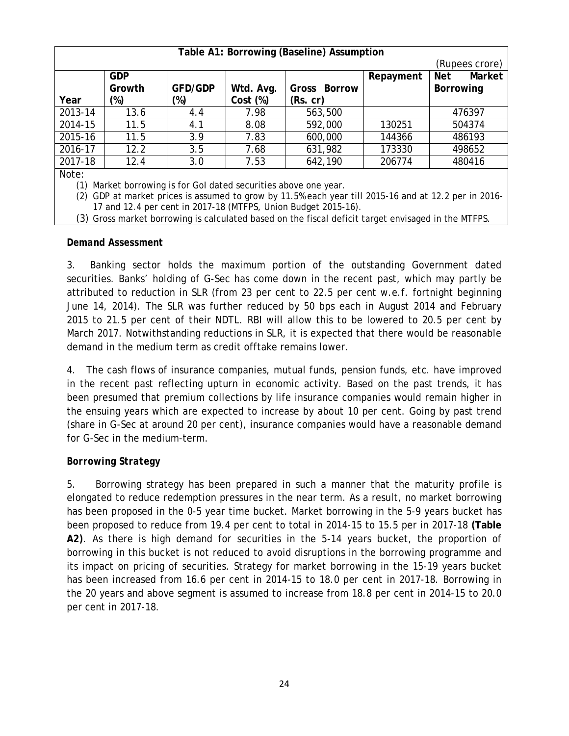| Table A1: Borrowing (Baseline) Assumption                           |                |                |           |              |           |                      |  |
|---------------------------------------------------------------------|----------------|----------------|-----------|--------------|-----------|----------------------|--|
|                                                                     | (Rupees crore) |                |           |              |           |                      |  |
|                                                                     | <b>GDP</b>     |                |           |              | Repayment | Market<br><b>Net</b> |  |
|                                                                     | Growth         | <b>GFD/GDP</b> | Wtd. Avg. | Gross Borrow |           | <b>Borrowing</b>     |  |
| Year                                                                | $(\%)$         | (%)            | Cost (%)  | (Rs. cr)     |           |                      |  |
| 2013-14                                                             | 13.6           | 4.4            | 7.98      | 563,500      |           | 476397               |  |
| 2014-15                                                             | 11.5           | 4.1            | 8.08      | 592,000      | 130251    | 504374               |  |
| 2015-16                                                             | 11.5           | 3.9            | 7.83      | 600,000      | 144366    | 486193               |  |
| 2016-17                                                             | 12.2           | 3.5            | 7.68      | 631,982      | 173330    | 498652               |  |
| 2017-18                                                             | 12.4           | 3.0            | 7.53      | 642,190      | 206774    | 480416               |  |
| Note:                                                               |                |                |           |              |           |                      |  |
| Market borrowing is for Gol dated securities above one year.<br>(1) |                |                |           |              |           |                      |  |

(2) GDP at market prices is assumed to grow by 11.5% each year till 2015-16 and at 12.2 per in 2016- 17 and 12.4 per cent in 2017-18 (MTFPS, Union Budget 2015-16).

(3) Gross market borrowing is calculated based on the fiscal deficit target envisaged in the MTFPS.

#### *Demand Assessment*

3. Banking sector holds the maximum portion of the outstanding Government dated securities. Banks' holding of G-Sec has come down in the recent past, which may partly be attributed to reduction in SLR (from 23 per cent to 22.5 per cent w.e.f. fortnight beginning June 14, 2014). The SLR was further reduced by 50 bps each in August 2014 and February 2015 to 21.5 per cent of their NDTL. RBI will allow this to be lowered to 20.5 per cent by March 2017. Notwithstanding reductions in SLR, it is expected that there would be reasonable demand in the medium term as credit offtake remains lower.

4. The cash flows of insurance companies, mutual funds, pension funds, *etc.* have improved in the recent past reflecting upturn in economic activity. Based on the past trends, it has been presumed that premium collections by life insurance companies would remain higher in the ensuing years which are expected to increase by about 10 per cent. Going by past trend (share in G-Sec at around 20 per cent), insurance companies would have a reasonable demand for G-Sec in the medium-term.

#### *Borrowing Strategy*

5. Borrowing strategy has been prepared in such a manner that the maturity profile is elongated to reduce redemption pressures in the near term. As a result, no market borrowing has been proposed in the 0-5 year time bucket. Market borrowing in the 5-9 years bucket has been proposed to reduce from 19.4 per cent to total in 2014-15 to 15.5 per in 2017-18 **(Table A2)**. As there is high demand for securities in the 5-14 years bucket, the proportion of borrowing in this bucket is not reduced to avoid disruptions in the borrowing programme and its impact on pricing of securities. Strategy for market borrowing in the 15-19 years bucket has been increased from 16.6 per cent in 2014-15 to 18.0 per cent in 2017-18. Borrowing in the 20 years and above segment is assumed to increase from 18.8 per cent in 2014-15 to 20.0 per cent in 2017-18.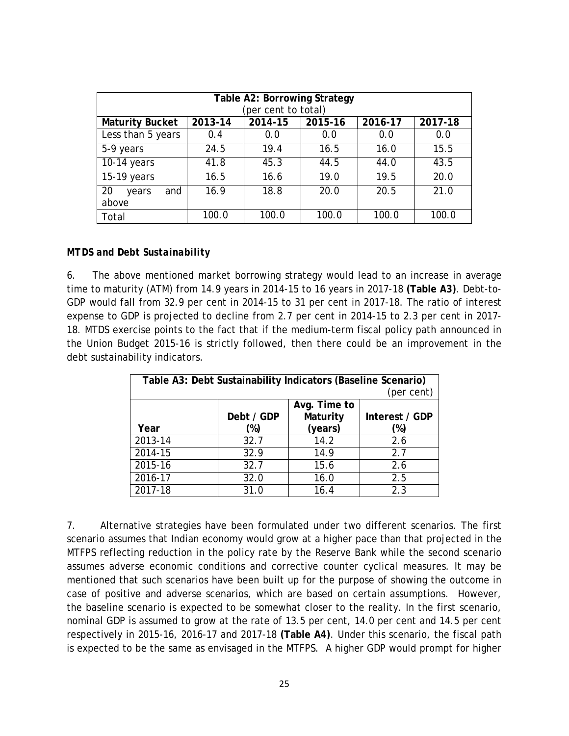| Table A2: Borrowing Strategy<br>(per cent to total) |         |         |         |         |         |  |
|-----------------------------------------------------|---------|---------|---------|---------|---------|--|
| <b>Maturity Bucket</b>                              | 2013-14 | 2014-15 | 2015-16 | 2016-17 | 2017-18 |  |
| Less than 5 years                                   | 0.4     | 0.0     | 0.0     | 0.0     | 0.0     |  |
| 5-9 years                                           | 24.5    | 19.4    | 16.5    | 16.0    | 15.5    |  |
| $10-14$ years                                       | 41.8    | 45.3    | 44.5    | 44.0    | 43.5    |  |
| 15-19 years                                         | 16.5    | 16.6    | 19.0    | 19.5    | 20.0    |  |
| 20<br>and<br>years                                  | 16.9    | 18.8    | 20.0    | 20.5    | 21.0    |  |
| above                                               |         |         |         |         |         |  |
| Total                                               | 100.0   | 100.0   | 100.0   | 100.0   | 100.0   |  |

#### *MTDS and Debt Sustainability*

6. The above mentioned market borrowing strategy would lead to an increase in average time to maturity (ATM) from 14.9 years in 2014-15 to 16 years in 2017-18 **(Table A3)**. Debt-to-GDP would fall from 32.9 per cent in 2014-15 to 31 per cent in 2017-18. The ratio of interest expense to GDP is projected to decline from 2.7 per cent in 2014-15 to 2.3 per cent in 2017- 18. MTDS exercise points to the fact that if the medium-term fiscal policy path announced in the Union Budget 2015-16 is strictly followed, then there could be an improvement in the debt sustainability indicators.

| Table A3: Debt Sustainability Indicators (Baseline Scenario)<br>(per cent) |                                                          |         |        |  |  |  |
|----------------------------------------------------------------------------|----------------------------------------------------------|---------|--------|--|--|--|
|                                                                            | Avg. Time to<br>Maturity<br>Debt / GDP<br>Interest / GDP |         |        |  |  |  |
| Year                                                                       | (%)                                                      | (years) | $(\%)$ |  |  |  |
| 2013-14                                                                    | 32.7                                                     | 14.2    | 2.6    |  |  |  |
| 2014-15                                                                    | 32.9                                                     | 14.9    | 2.7    |  |  |  |
| 2015-16                                                                    | 32.7                                                     | 15.6    | 2.6    |  |  |  |
| 2016-17                                                                    | 32.0                                                     | 16.0    | 2.5    |  |  |  |
| 2017-18                                                                    | 31.0                                                     | 16.4    | 2.3    |  |  |  |

7. Alternative strategies have been formulated under two different scenarios. The first scenario assumes that Indian economy would grow at a higher pace than that projected in the MTFPS reflecting reduction in the policy rate by the Reserve Bank while the second scenario assumes adverse economic conditions and corrective counter cyclical measures. It may be mentioned that such scenarios have been built up for the purpose of showing the outcome in case of positive and adverse scenarios, which are based on certain assumptions. However, the baseline scenario is expected to be somewhat closer to the reality. In the first scenario, nominal GDP is assumed to grow at the rate of 13.5 per cent, 14.0 per cent and 14.5 per cent respectively in 2015-16, 2016-17 and 2017-18 **(Table A4)**. Under this scenario, the fiscal path is expected to be the same as envisaged in the MTFPS. A higher GDP would prompt for higher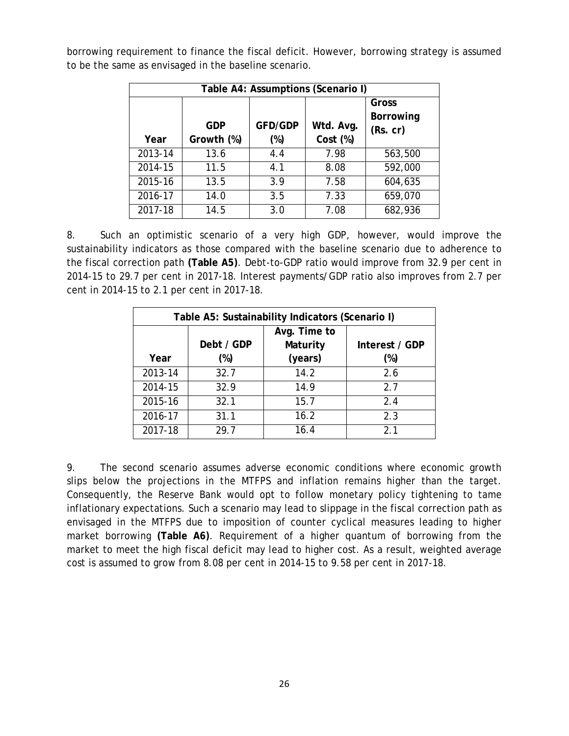| Table A4: Assumptions (Scenario I) |                          |                       |                       |                                       |  |
|------------------------------------|--------------------------|-----------------------|-----------------------|---------------------------------------|--|
| Year                               | <b>GDP</b><br>Growth (%) | <b>GFD/GDP</b><br>(%) | Wtd. Avg.<br>Cost (%) | Gross<br><b>Borrowing</b><br>(Rs. cr) |  |
| 2013-14                            | 13.6                     | 4.4                   | 7.98                  | 563,500                               |  |
| 2014-15                            | 11.5                     | 4.1                   | 8.08                  | 592,000                               |  |
| 2015-16                            | 13.5                     | 3.9                   | 7.58                  | 604,635                               |  |
| 2016-17                            | 14.0                     | 3.5                   | 7.33                  | 659,070                               |  |
| 2017-18                            | 14.5                     | 3.0                   | 7.08                  | 682,936                               |  |

borrowing requirement to finance the fiscal deficit. However, borrowing strategy is assumed to be the same as envisaged in the baseline scenario.

8. Such an optimistic scenario of a very high GDP, however, would improve the sustainability indicators as those compared with the baseline scenario due to adherence to the fiscal correction path **(Table A5)**. Debt-to-GDP ratio would improve from 32.9 per cent in 2014-15 to 29.7 per cent in 2017-18. Interest payments/GDP ratio also improves from 2.7 per cent in 2014-15 to 2.1 per cent in 2017-18.

| Table A5: Sustainability Indicators (Scenario I) |            |                |     |  |
|--------------------------------------------------|------------|----------------|-----|--|
|                                                  | Debt / GDP | Interest / GDP |     |  |
| Year                                             | (%)        | (years)        | (%) |  |
| 2013-14                                          | 32.7       | 14.2           | 2.6 |  |
| 2014-15                                          | 32.9       | 14.9           | 2.7 |  |
| 2015-16                                          | 32.1       | 15.7           | 2.4 |  |
| 2016-17                                          | 31.1       | 16.2           | 2.3 |  |
| 2017-18                                          | 29.7       | 16.4           | 21  |  |

9. The second scenario assumes adverse economic conditions where economic growth slips below the projections in the MTFPS and inflation remains higher than the target. Consequently, the Reserve Bank would opt to follow monetary policy tightening to tame inflationary expectations. Such a scenario may lead to slippage in the fiscal correction path as envisaged in the MTFPS due to imposition of counter cyclical measures leading to higher market borrowing **(Table A6)**. Requirement of a higher quantum of borrowing from the market to meet the high fiscal deficit may lead to higher cost. As a result, weighted average cost is assumed to grow from 8.08 per cent in 2014-15 to 9.58 per cent in 2017-18.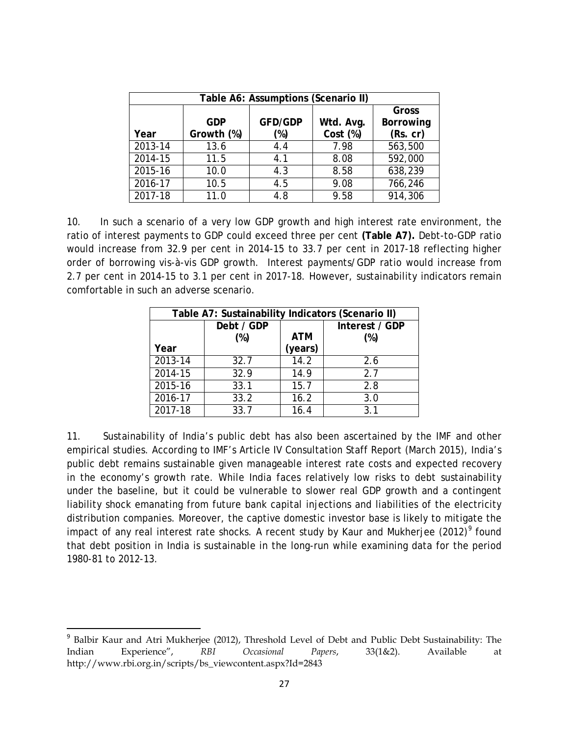| Table A6: Assumptions (Scenario II) |            |                |           |           |  |
|-------------------------------------|------------|----------------|-----------|-----------|--|
|                                     |            |                |           | Gross     |  |
|                                     | <b>GDP</b> | <b>GFD/GDP</b> | Wtd. Avg. | Borrowing |  |
| Year                                | Growth (%) | (%)            | Cost (%)  | (Rs. cr)  |  |
| $2013 - 14$                         | 13.6       | 4.4            | 7.98      | 563,500   |  |
| 2014-15                             | 11.5       | 4.1            | 8.08      | 592,000   |  |
| 2015-16                             | 10.0       | 4.3            | 8.58      | 638,239   |  |
| 2016-17                             | 10.5       | 4.5            | 9.08      | 766,246   |  |
| 2017-18                             | 11.0       | 4.8            | 9.58      | 914,306   |  |

10. In such a scenario of a very low GDP growth and high interest rate environment, the ratio of interest payments to GDP could exceed three per cent **(Table A7).** Debt-to-GDP ratio would increase from 32.9 per cent in 2014-15 to 33.7 per cent in 2017-18 reflecting higher order of borrowing vis-à-vis GDP growth. Interest payments/GDP ratio would increase from 2.7 per cent in 2014-15 to 3.1 per cent in 2017-18. However, sustainability indicators remain comfortable in such an adverse scenario.

| Table A7: Sustainability Indicators (Scenario II) |            |            |                |  |  |
|---------------------------------------------------|------------|------------|----------------|--|--|
|                                                   | Debt / GDP |            | Interest / GDP |  |  |
|                                                   | $(\%)$     | <b>ATM</b> | $(\%)$         |  |  |
| Year                                              |            | (years)    |                |  |  |
| 2013-14                                           | 32.7       | 14.2       | 2.6            |  |  |
| 2014-15                                           | 32.9       | 14.9       | 2.7            |  |  |
| 2015-16                                           | 33.1       | 15.7       | 2.8            |  |  |
| 2016-17                                           | 33.2       | 16.2       | 3.0            |  |  |
| 2017-18                                           | 33.7       | 16.4       | 3.1            |  |  |

11. Sustainability of India's public debt has also been ascertained by the IMF and other empirical studies. According to IMF's Article IV Consultation Staff Report (March 2015), India's public debt remains sustainable given manageable interest rate costs and expected recovery in the economy's growth rate. While India faces relatively low risks to debt sustainability under the baseline, but it could be vulnerable to slower real GDP growth and a contingent liability shock emanating from future bank capital injections and liabilities of the electricity distribution companies. Moreover, the captive domestic investor base is likely to mitigate the impact of any real interest rate shocks. A recent study by Kaur and Mukherjee (2012)<sup>[9](#page-27-0)</sup> found that debt position in India is sustainable in the long-run while examining data for the period 1980-81 to 2012-13.

<span id="page-27-0"></span><sup>&</sup>lt;sup>9</sup> Balbir Kaur and Atri Mukherjee (2012), Threshold Level of Debt and Public Debt Sustainability: The Indian Experience", *RBI Occasional Papers*, 33(1&2). Available at http://www.rbi.org.in/scripts/bs\_viewcontent.aspx?Id=2843